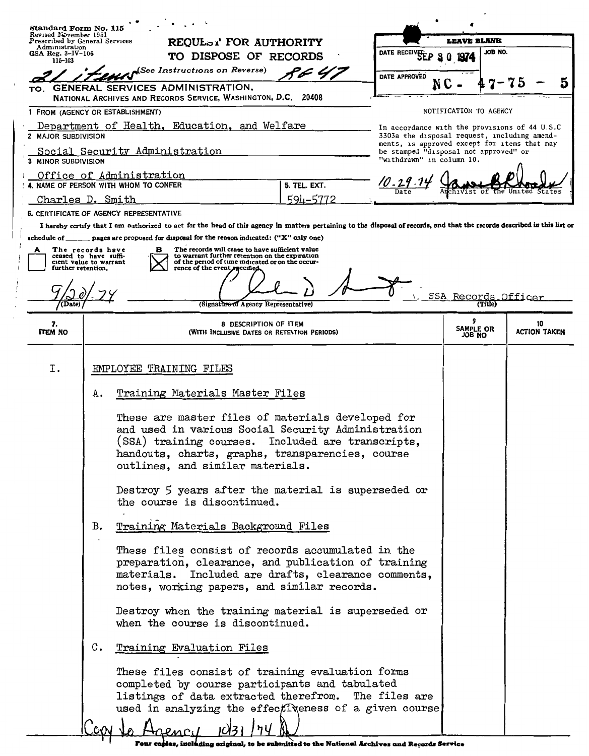|                                                                                                                             | Standard Form No. 115                                                                                                                                                                                                |                                                                                                                                                                                                                                                      |                                                                        |                    |                        |         |              |  |
|-----------------------------------------------------------------------------------------------------------------------------|----------------------------------------------------------------------------------------------------------------------------------------------------------------------------------------------------------------------|------------------------------------------------------------------------------------------------------------------------------------------------------------------------------------------------------------------------------------------------------|------------------------------------------------------------------------|--------------------|------------------------|---------|--------------|--|
| Revised November 1951<br>Administration                                                                                     | REQUL <sub>EX'</sub> FOR AUTHORITY<br>Prescribed by General Services                                                                                                                                                 |                                                                                                                                                                                                                                                      |                                                                        | <b>LEAVE BLANK</b> |                        |         |              |  |
| GSA Reg. 3-IV-106<br>115-103                                                                                                |                                                                                                                                                                                                                      | TO DISPOSE OF RECORDS                                                                                                                                                                                                                                |                                                                        | DATE RECEI         |                        | JOB NO. |              |  |
|                                                                                                                             |                                                                                                                                                                                                                      | College Instructions on Reverse)                                                                                                                                                                                                                     | 'F 47                                                                  | DATE APPROVED      |                        |         |              |  |
|                                                                                                                             |                                                                                                                                                                                                                      | TO. GENERAL SERVICES ADMINISTRATION,<br>NATIONAL ARCHIVES AND RECORDS SERVICE, WASHINGTON, D.C. 20408                                                                                                                                                |                                                                        |                    |                        |         |              |  |
| 1 FROM (AGENCY OR ESTABLISHMENT)                                                                                            |                                                                                                                                                                                                                      |                                                                                                                                                                                                                                                      |                                                                        |                    | NOTIFICATION TO AGENCY |         |              |  |
|                                                                                                                             | Department of Health, Education, and Welfare<br>In accordance with the provisions of 44 U.S.C<br>3303a the disposal request, including amend-<br>2 MAJOR SUBDIVISION<br>ments, is approved except for items that may |                                                                                                                                                                                                                                                      |                                                                        |                    |                        |         |              |  |
| Social Security Administration<br>be stamped "disposal not approved" or<br>"withdrawn" in column 10.<br>3 MINOR SUBDIVISION |                                                                                                                                                                                                                      |                                                                                                                                                                                                                                                      |                                                                        |                    |                        |         |              |  |
| Office of Administration<br>$10 - 29.14$<br>4. NAME OF PERSON WITH WHOM TO CONFER<br>5. TEL. EXT.                           |                                                                                                                                                                                                                      |                                                                                                                                                                                                                                                      |                                                                        |                    |                        |         |              |  |
| Charles D. Smith                                                                                                            |                                                                                                                                                                                                                      |                                                                                                                                                                                                                                                      | $594 - 5772$                                                           |                    |                        |         |              |  |
|                                                                                                                             |                                                                                                                                                                                                                      | 6. CERTIFICATE OF AGENCY REPRESENTATIVE                                                                                                                                                                                                              |                                                                        |                    |                        |         |              |  |
|                                                                                                                             |                                                                                                                                                                                                                      | I hereby certify that I am authorized to act for the head of this agency in matters pertaining to the disposal of records, and that the records described in this list or                                                                            |                                                                        |                    |                        |         |              |  |
|                                                                                                                             |                                                                                                                                                                                                                      | schedule of ______ pages are proposed for disposal for the reason indicated: ("X" only one)                                                                                                                                                          |                                                                        |                    |                        |         |              |  |
| The records have<br>А<br>ceased to have suffi-<br>cient value to warrant                                                    |                                                                                                                                                                                                                      | The records will cease to have sufficient value<br>в<br>to warrant further retention on the expiration<br>of the period of time indicated or on the occur-                                                                                           |                                                                        |                    |                        |         |              |  |
| further retention.                                                                                                          |                                                                                                                                                                                                                      | rence of the event specified                                                                                                                                                                                                                         |                                                                        |                    |                        |         |              |  |
|                                                                                                                             |                                                                                                                                                                                                                      |                                                                                                                                                                                                                                                      |                                                                        |                    | SSA Records Officer    |         |              |  |
| (Date)                                                                                                                      |                                                                                                                                                                                                                      | (Signature of Agency Representative)                                                                                                                                                                                                                 |                                                                        |                    |                        | (Title) |              |  |
| 7.                                                                                                                          |                                                                                                                                                                                                                      | 8 DESCRIPTION OF ITEM                                                                                                                                                                                                                                |                                                                        |                    | 9<br>SAMPLE OR         |         | 10           |  |
| <b>ITEM NO</b>                                                                                                              |                                                                                                                                                                                                                      | (WITH INCLUSIVE DATES OR RETENTION PERIODS)                                                                                                                                                                                                          |                                                                        |                    | JOB NO                 |         | ACTION TAKEN |  |
| I.                                                                                                                          |                                                                                                                                                                                                                      | EMPLOYEE TRAINING FILES                                                                                                                                                                                                                              |                                                                        |                    |                        |         |              |  |
|                                                                                                                             |                                                                                                                                                                                                                      |                                                                                                                                                                                                                                                      |                                                                        |                    |                        |         |              |  |
|                                                                                                                             | А.                                                                                                                                                                                                                   | Training Materials Master Files                                                                                                                                                                                                                      |                                                                        |                    |                        |         |              |  |
|                                                                                                                             |                                                                                                                                                                                                                      | These are master files of materials developed for<br>and used in various Social Security Administration<br>(SSA) training courses. Included are transcripts,<br>handouts, charts, graphs, transparencies, course<br>outlines, and similar materials. |                                                                        |                    |                        |         |              |  |
|                                                                                                                             |                                                                                                                                                                                                                      | Destroy 5 years after the material is superseded or<br>the course is discontinued.                                                                                                                                                                   |                                                                        |                    |                        |         |              |  |
|                                                                                                                             | в.                                                                                                                                                                                                                   | Training Materials Background Files                                                                                                                                                                                                                  |                                                                        |                    |                        |         |              |  |
|                                                                                                                             |                                                                                                                                                                                                                      | These files consist of records accumulated in the<br>preparation, clearance, and publication of training<br>materials. Included are drafts, clearance comments,<br>notes, working papers, and similar records.                                       |                                                                        |                    |                        |         |              |  |
|                                                                                                                             |                                                                                                                                                                                                                      | Destroy when the training material is superseded or<br>when the course is discontinued.                                                                                                                                                              |                                                                        |                    |                        |         |              |  |
|                                                                                                                             | $\mathbf{c}$ .                                                                                                                                                                                                       | Training Evaluation Files                                                                                                                                                                                                                            |                                                                        |                    |                        |         |              |  |
|                                                                                                                             |                                                                                                                                                                                                                      | These files consist of training evaluation forms<br>completed by course participants and tabulated<br>listings of data extracted therefrom. The files are<br>used in analyzing the effectiveness of a given course                                   |                                                                        |                    |                        |         |              |  |
|                                                                                                                             |                                                                                                                                                                                                                      |                                                                                                                                                                                                                                                      |                                                                        |                    |                        |         |              |  |
|                                                                                                                             |                                                                                                                                                                                                                      |                                                                                                                                                                                                                                                      | original, to be submitted to the National Archives and Records Service |                    |                        |         |              |  |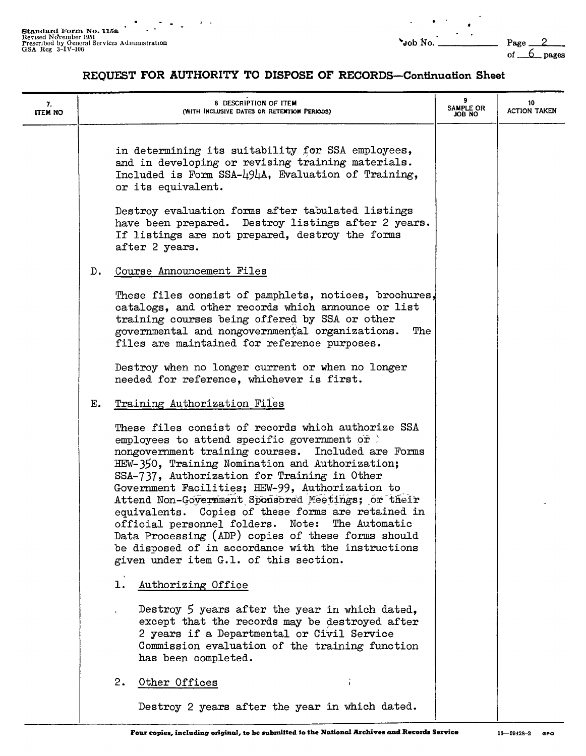of  $6$  pages

# **REQUFST FOR AUTHORITY TO DISPOSE OF RECORDS-Continuation Sheet**

 $\lambda = \lambda$ 

| 7.<br><b>ITEM NO</b> |       | 8 DESCRIPTION OF ITEM<br>(WITH INCLUSIVE DATES OR RETENTION PERIODS)                                                                                                                                                                                                                                                                                                                                                                                                                                                                                                                                                              | 9<br>SAMPLE OR<br>JOB NO | 10<br><b>ACTION TAKEN</b> |
|----------------------|-------|-----------------------------------------------------------------------------------------------------------------------------------------------------------------------------------------------------------------------------------------------------------------------------------------------------------------------------------------------------------------------------------------------------------------------------------------------------------------------------------------------------------------------------------------------------------------------------------------------------------------------------------|--------------------------|---------------------------|
|                      |       | in determining its suitability for SSA employees,<br>and in developing or revising training materials.<br>Included is Form SSA-494A, Evaluation of Training,<br>or its equivalent.                                                                                                                                                                                                                                                                                                                                                                                                                                                |                          |                           |
|                      |       | Destroy evaluation forms after tabulated listings<br>have been prepared. Destroy listings after 2 years.<br>If listings are not prepared, destroy the forms<br>after 2 years.                                                                                                                                                                                                                                                                                                                                                                                                                                                     |                          |                           |
|                      | $D$ . | Course Announcement Files                                                                                                                                                                                                                                                                                                                                                                                                                                                                                                                                                                                                         |                          |                           |
|                      |       | These files consist of pamphlets, notices, brochures,<br>catalogs, and other records which announce or list<br>training courses being offered by SSA or other<br>governmental and nongovernmental organizations.<br>The<br>files are maintained for reference purposes.                                                                                                                                                                                                                                                                                                                                                           |                          |                           |
|                      |       | Destroy when no longer current or when no longer<br>needed for reference, whichever is first.                                                                                                                                                                                                                                                                                                                                                                                                                                                                                                                                     |                          |                           |
|                      | Е.    | Training Authorization Files                                                                                                                                                                                                                                                                                                                                                                                                                                                                                                                                                                                                      |                          |                           |
|                      |       | These files consist of records which authorize SSA<br>employees to attend specific government or<br>nongovernment training courses. Included are Forms<br>HEW-350, Training Nomination and Authorization;<br>SSA-737, Authorization for Training in Other<br>Government Facilities; HEW-99, Authorization to<br>Attend Non-Government Sponsored Meetings; or their<br>equivalents. Copies of these forms are retained in<br>official personnel folders. Note: The Automatic<br>Data Processing (ADP) copies of these forms should<br>be disposed of in accordance with the instructions<br>given under item G.1. of this section. |                          |                           |
|                      |       | Authorizing Office<br>ı.                                                                                                                                                                                                                                                                                                                                                                                                                                                                                                                                                                                                          |                          |                           |
|                      |       | Destroy 5 years after the year in which dated,<br>except that the records may be destroyed after<br>2 years if a Departmental or Civil Service<br>Commission evaluation of the training function<br>has been completed.                                                                                                                                                                                                                                                                                                                                                                                                           |                          |                           |
|                      |       | 2.<br>Other Offices                                                                                                                                                                                                                                                                                                                                                                                                                                                                                                                                                                                                               |                          |                           |
|                      |       | Destroy 2 years after the year in which dated.                                                                                                                                                                                                                                                                                                                                                                                                                                                                                                                                                                                    |                          |                           |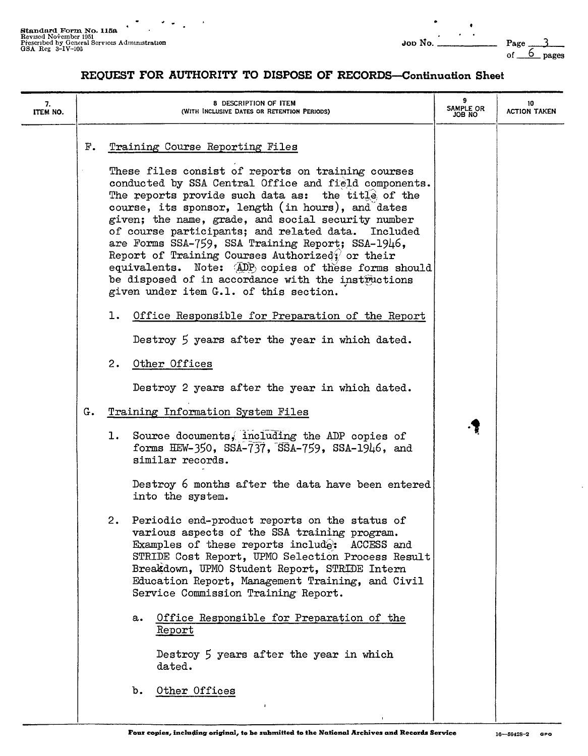# **REQUEST FOR AUTHORITY TO DISPOSE OF RECORDS-Continuation Sheet**

| 7.<br>ITEM NO. |          | 8 DESCRIPTION OF ITEM<br>(WITH INCLUSIVE DATES OR RETENTION PERIODS)                                                                                                                                                                                                                                                                                                                                                                                                                                                                                                                                                                                                                                                                                                                                                                                                                                                                                                                                                                                                                                                                                                                                                                                                                                                                                                                                                                                                                                                                                                       | 9<br>SAMPLE OR<br>JOB NO | 10<br><b>ACTION TAKEN</b> |
|----------------|----------|----------------------------------------------------------------------------------------------------------------------------------------------------------------------------------------------------------------------------------------------------------------------------------------------------------------------------------------------------------------------------------------------------------------------------------------------------------------------------------------------------------------------------------------------------------------------------------------------------------------------------------------------------------------------------------------------------------------------------------------------------------------------------------------------------------------------------------------------------------------------------------------------------------------------------------------------------------------------------------------------------------------------------------------------------------------------------------------------------------------------------------------------------------------------------------------------------------------------------------------------------------------------------------------------------------------------------------------------------------------------------------------------------------------------------------------------------------------------------------------------------------------------------------------------------------------------------|--------------------------|---------------------------|
|                | F.<br>G. | Training Course Reporting Files<br>These files consist of reports on training courses<br>conducted by SSA Central Office and field components.<br>The reports provide such data as: the title of the<br>course, its sponsor, length (in hours), and dates<br>given; the name, grade, and social security number<br>of course participants; and related data. Included<br>are Forms SSA-759, SSA Training Report; SSA-1946,<br>Report of Training Courses Authorizedy or their<br>equivalents. Note: (ADP) copies of these forms should<br>be disposed of in accordance with the instructions<br>given under item G.1. of this section.<br>1. Office Responsible for Preparation of the Report<br>Destroy 5 years after the year in which dated.<br>2. Other Offices<br>Destroy 2 years after the year in which dated.<br>Training Information System Files<br>1. Source documents, including the ADP copies of<br>forms HEW-350, SSA-737, $\overline{SS}$ A-759, SSA-1946, and<br>similar records.<br>Destroy 6 months after the data have been entered<br>into the system.<br>2. Periodic end-product reports on the status of<br>various aspects of the SSA training program.<br>Examples of these reports include: ACCESS and<br>STRIDE Cost Report, UPMO Selection Process Result<br>Breakdown, UPMO Student Report, STRIDE Intern<br>Education Report, Management Training, and Civil<br>Service Commission Training Report.<br>Office Responsible for Preparation of the<br>a.<br>Report<br>Destroy 5 years after the year in which<br>dated.<br>Other Offices<br>b. | .Ţ                       |                           |
|                |          |                                                                                                                                                                                                                                                                                                                                                                                                                                                                                                                                                                                                                                                                                                                                                                                                                                                                                                                                                                                                                                                                                                                                                                                                                                                                                                                                                                                                                                                                                                                                                                            |                          |                           |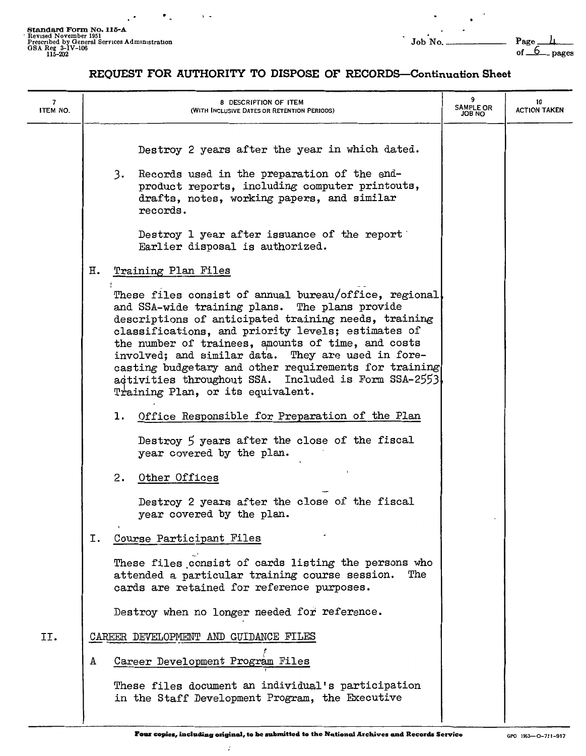$\bullet$  .

 $\cdot$  $\overline{\phantom{a}}$ 

 $\ddot{\phantom{0}}$ 

# **REQUEST FOR AUTHORITY TO DISPOSE OF RECORDS-Continuation Sheet**

| 7<br>ITEM NO. | 8 DESCRIPTION OF ITEM<br>(WITH INCLUSIVE DATES OR RETENTION PERIODS)                                                                                                                                                                                                                                                                                                                                                                                                                    | 9<br><b>SAMPLE OR</b><br><b>JOB NO</b> | 10<br><b>ACTION TAKEN</b> |
|---------------|-----------------------------------------------------------------------------------------------------------------------------------------------------------------------------------------------------------------------------------------------------------------------------------------------------------------------------------------------------------------------------------------------------------------------------------------------------------------------------------------|----------------------------------------|---------------------------|
|               | Destroy 2 years after the year in which dated.<br>3. Records used in the preparation of the end-<br>product reports, including computer printouts,<br>drafts, notes, working papers, and similar<br>records.                                                                                                                                                                                                                                                                            |                                        |                           |
|               | Destroy 1 year after issuance of the report<br>Earlier disposal is authorized.                                                                                                                                                                                                                                                                                                                                                                                                          |                                        |                           |
|               | Η.<br>Training Plan Files                                                                                                                                                                                                                                                                                                                                                                                                                                                               |                                        |                           |
|               | These files consist of annual bureau/office, regional<br>and SSA-wide training plans. The plans provide<br>descriptions of anticipated training needs, training<br>classifications, and priority levels; estimates of<br>the number of trainees, amounts of time, and costs<br>involved; and similar data. They are used in fore-<br>casting budgetary and other requirements for training<br>activities throughout SSA. Included is Form SSA-2553<br>Training Plan, or its equivalent. |                                        |                           |
|               | Office Responsible for Preparation of the Plan<br>ı.                                                                                                                                                                                                                                                                                                                                                                                                                                    |                                        |                           |
|               | Destroy 5 years after the close of the fiscal<br>year covered by the plan.                                                                                                                                                                                                                                                                                                                                                                                                              |                                        |                           |
|               | 2.<br>Other Offices                                                                                                                                                                                                                                                                                                                                                                                                                                                                     |                                        |                           |
|               | Destroy 2 years after the close of the fiscal<br>year covered by the plan.                                                                                                                                                                                                                                                                                                                                                                                                              |                                        |                           |
|               | Course Participant Files<br>i.                                                                                                                                                                                                                                                                                                                                                                                                                                                          |                                        |                           |
|               | These files consist of cards listing the persons who<br>attended a particular training course session.<br>The<br>cards are retained for reference purposes.                                                                                                                                                                                                                                                                                                                             |                                        |                           |
|               | Destroy when no longer needed for reference.                                                                                                                                                                                                                                                                                                                                                                                                                                            |                                        |                           |
| II.           | CAREER DEVELOPMENT AND GUIDANCE FILES                                                                                                                                                                                                                                                                                                                                                                                                                                                   |                                        |                           |
|               | Career Development Program Files<br>А                                                                                                                                                                                                                                                                                                                                                                                                                                                   |                                        |                           |
|               | These files document an individual's participation<br>in the Staff Development Program, the Executive                                                                                                                                                                                                                                                                                                                                                                                   |                                        |                           |

 $\bar{J}$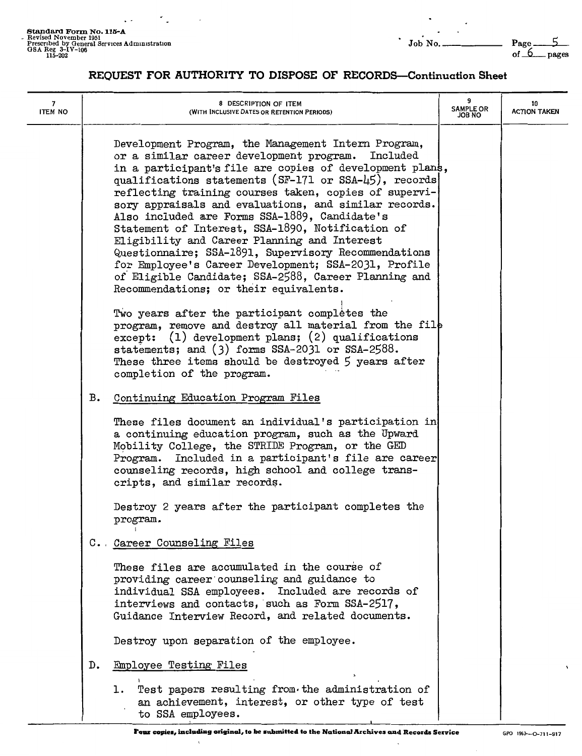**Standard Form No. 115-A**<br>- Revised November 1951<br>Prescribed by General Services Administration<br>GSA Reg 3-IV-106 of 6\_pages<br>115-202 of 6\_pages

 $5$ <br>pages

#### **REQUEST FOR AUTHORITY TO DISPOSE OF RECORDS-Continuation Sheet**

| 7<br>ITEM NO |    | 8 DESCRIPTION OF ITEM<br>(WITH INCLUSIVE DATES OR RETENTION PERIODS)                                                                                                                                                                                                                                                                                                                                                                                                                                                                                                                                                                                                                                                                                                                                                                                                                                                                            | 9<br><b>SAMPLE OR</b><br><b>JOB NO</b> | 10<br><b>ACTION TAKEN</b> |
|--------------|----|-------------------------------------------------------------------------------------------------------------------------------------------------------------------------------------------------------------------------------------------------------------------------------------------------------------------------------------------------------------------------------------------------------------------------------------------------------------------------------------------------------------------------------------------------------------------------------------------------------------------------------------------------------------------------------------------------------------------------------------------------------------------------------------------------------------------------------------------------------------------------------------------------------------------------------------------------|----------------------------------------|---------------------------|
|              |    | Development Program, the Management Intern Program,<br>or a similar career development program.<br>Included<br>in a participant's file are copies of development plans,<br>qualifications statements (SF-171 or SSA-45), records<br>reflecting training courses taken, copies of supervi-<br>sory appraisals and evaluations, and similar records.<br>Also included are Forms SSA-1889, Candidate's<br>Statement of Interest, SSA-1890, Notification of<br>Eligibility and Career Planning and Interest<br>Questionnaire; SSA-1891, Supervisory Recommendations<br>for Employee's Career Development; SSA-2031, Profile<br>of Eligible Candidate; SSA-2588, Career Planning and<br>Recommendations; or their equivalents.<br>Two years after the participant completes the<br>program, remove and destroy all material from the file<br>$except: (1) development plans; (2) qualitiesations$<br>statements; and (3) forms SSA-2031 or SSA-2588. |                                        |                           |
|              |    | These three items should be destroyed 5 years after<br>completion of the program.                                                                                                                                                                                                                                                                                                                                                                                                                                                                                                                                                                                                                                                                                                                                                                                                                                                               |                                        |                           |
|              | в. | Continuing Education Program Files                                                                                                                                                                                                                                                                                                                                                                                                                                                                                                                                                                                                                                                                                                                                                                                                                                                                                                              |                                        |                           |
|              |    | These files document an individual's participation in<br>a continuing education program, such as the Upward<br>Mobility College, the STRIDE Program, or the GED<br>Program. Included in a participant's file are career<br>counseling records, high school and college trans-<br>cripts, and similar records.                                                                                                                                                                                                                                                                                                                                                                                                                                                                                                                                                                                                                                   |                                        |                           |
|              |    | Destroy 2 years after the participant completes the<br>program.                                                                                                                                                                                                                                                                                                                                                                                                                                                                                                                                                                                                                                                                                                                                                                                                                                                                                 |                                        |                           |
|              |    | C. Career Counseling Files                                                                                                                                                                                                                                                                                                                                                                                                                                                                                                                                                                                                                                                                                                                                                                                                                                                                                                                      |                                        |                           |
|              |    | These files are accumulated in the course of<br>providing career counseling and guidance to<br>individual SSA employees. Included are records of<br>interviews and contacts, such as Form SSA-2517,<br>Guidance Interview Record, and related documents.                                                                                                                                                                                                                                                                                                                                                                                                                                                                                                                                                                                                                                                                                        |                                        |                           |
|              |    | Destroy upon separation of the employee.                                                                                                                                                                                                                                                                                                                                                                                                                                                                                                                                                                                                                                                                                                                                                                                                                                                                                                        |                                        |                           |
|              | D. | <b>Employee Testing Files</b>                                                                                                                                                                                                                                                                                                                                                                                                                                                                                                                                                                                                                                                                                                                                                                                                                                                                                                                   |                                        |                           |
|              |    | 1. Test papers resulting from the administration of<br>an achievement, interest, or other type of test<br>to SSA employees.                                                                                                                                                                                                                                                                                                                                                                                                                                                                                                                                                                                                                                                                                                                                                                                                                     |                                        |                           |

 $\lambda$